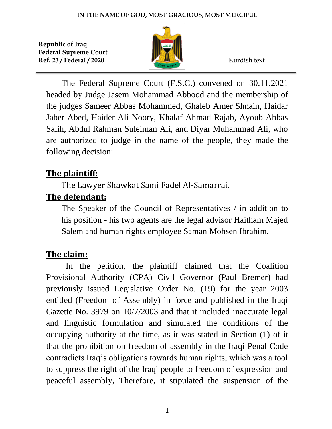

The Federal Supreme Court (F.S.C.) convened on 30.11.2021 headed by Judge Jasem Mohammad Abbood and the membership of the judges Sameer Abbas Mohammed, Ghaleb Amer Shnain, Haidar Jaber Abed, Haider Ali Noory, Khalaf Ahmad Rajab, Ayoub Abbas Salih, Abdul Rahman Suleiman Ali, and Diyar Muhammad Ali, who are authorized to judge in the name of the people, they made the following decision:

## **The plaintiff:**

The Lawyer Shawkat Sami Fadel Al-Samarrai.

## **The defendant:**

The Speaker of the Council of Representatives / in addition to his position - his two agents are the legal advisor Haitham Majed Salem and human rights employee Saman Mohsen Ibrahim.

## **The claim:**

In the petition, the plaintiff claimed that the Coalition Provisional Authority (CPA) Civil Governor (Paul Bremer) had previously issued Legislative Order No. (19) for the year 2003 entitled (Freedom of Assembly) in force and published in the Iraqi Gazette No. 3979 on 10/7/2003 and that it included inaccurate legal and linguistic formulation and simulated the conditions of the occupying authority at the time, as it was stated in Section (1) of it that the prohibition on freedom of assembly in the Iraqi Penal Code contradicts Iraq's obligations towards human rights, which was a tool to suppress the right of the Iraqi people to freedom of expression and peaceful assembly, Therefore, it stipulated the suspension of the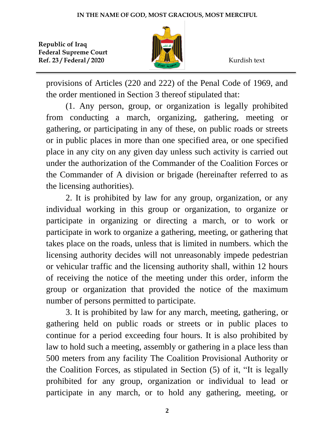

provisions of Articles (220 and 222) of the Penal Code of 1969, and the order mentioned in Section 3 thereof stipulated that:

(1. Any person, group, or organization is legally prohibited from conducting a march, organizing, gathering, meeting or gathering, or participating in any of these, on public roads or streets or in public places in more than one specified area, or one specified place in any city on any given day unless such activity is carried out under the authorization of the Commander of the Coalition Forces or the Commander of A division or brigade (hereinafter referred to as the licensing authorities).

2. It is prohibited by law for any group, organization, or any individual working in this group or organization, to organize or participate in organizing or directing a march, or to work or participate in work to organize a gathering, meeting, or gathering that takes place on the roads, unless that is limited in numbers. which the licensing authority decides will not unreasonably impede pedestrian or vehicular traffic and the licensing authority shall, within 12 hours of receiving the notice of the meeting under this order, inform the group or organization that provided the notice of the maximum number of persons permitted to participate.

3. It is prohibited by law for any march, meeting, gathering, or gathering held on public roads or streets or in public places to continue for a period exceeding four hours. It is also prohibited by law to hold such a meeting, assembly or gathering in a place less than 500 meters from any facility The Coalition Provisional Authority or the Coalition Forces, as stipulated in Section (5) of it, "It is legally prohibited for any group, organization or individual to lead or participate in any march, or to hold any gathering, meeting, or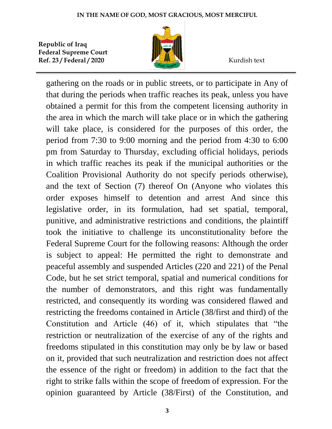

gathering on the roads or in public streets, or to participate in Any of that during the periods when traffic reaches its peak, unless you have obtained a permit for this from the competent licensing authority in the area in which the march will take place or in which the gathering will take place, is considered for the purposes of this order, the period from 7:30 to 9:00 morning and the period from 4:30 to 6:00 pm from Saturday to Thursday, excluding official holidays, periods in which traffic reaches its peak if the municipal authorities or the Coalition Provisional Authority do not specify periods otherwise), and the text of Section (7) thereof On (Anyone who violates this order exposes himself to detention and arrest And since this legislative order, in its formulation, had set spatial, temporal, punitive, and administrative restrictions and conditions, the plaintiff took the initiative to challenge its unconstitutionality before the Federal Supreme Court for the following reasons: Although the order is subject to appeal: He permitted the right to demonstrate and peaceful assembly and suspended Articles (220 and 221) of the Penal Code, but he set strict temporal, spatial and numerical conditions for the number of demonstrators, and this right was fundamentally restricted, and consequently its wording was considered flawed and restricting the freedoms contained in Article (38/first and third) of the Constitution and Article (46) of it, which stipulates that "the restriction or neutralization of the exercise of any of the rights and freedoms stipulated in this constitution may only be by law or based on it, provided that such neutralization and restriction does not affect the essence of the right or freedom) in addition to the fact that the right to strike falls within the scope of freedom of expression. For the opinion guaranteed by Article (38/First) of the Constitution, and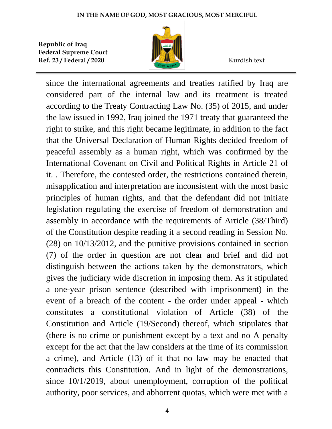

since the international agreements and treaties ratified by Iraq are considered part of the internal law and its treatment is treated according to the Treaty Contracting Law No. (35) of 2015, and under the law issued in 1992, Iraq joined the 1971 treaty that guaranteed the right to strike, and this right became legitimate, in addition to the fact that the Universal Declaration of Human Rights decided freedom of peaceful assembly as a human right, which was confirmed by the International Covenant on Civil and Political Rights in Article 21 of it. . Therefore, the contested order, the restrictions contained therein, misapplication and interpretation are inconsistent with the most basic principles of human rights, and that the defendant did not initiate legislation regulating the exercise of freedom of demonstration and assembly in accordance with the requirements of Article (38/Third) of the Constitution despite reading it a second reading in Session No. (28) on 10/13/2012, and the punitive provisions contained in section (7) of the order in question are not clear and brief and did not distinguish between the actions taken by the demonstrators, which gives the judiciary wide discretion in imposing them. As it stipulated a one-year prison sentence (described with imprisonment) in the event of a breach of the content - the order under appeal - which constitutes a constitutional violation of Article (38) of the Constitution and Article (19/Second) thereof, which stipulates that (there is no crime or punishment except by a text and no A penalty except for the act that the law considers at the time of its commission a crime), and Article (13) of it that no law may be enacted that contradicts this Constitution. And in light of the demonstrations, since 10/1/2019, about unemployment, corruption of the political authority, poor services, and abhorrent quotas, which were met with a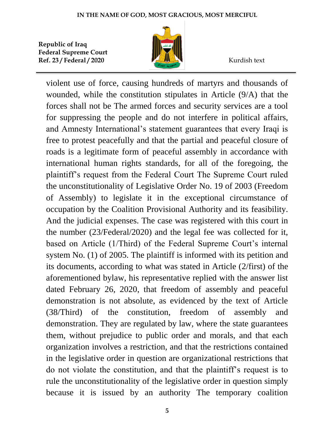

violent use of force, causing hundreds of martyrs and thousands of wounded, while the constitution stipulates in Article (9/A) that the forces shall not be The armed forces and security services are a tool for suppressing the people and do not interfere in political affairs, and Amnesty International's statement guarantees that every Iraqi is free to protest peacefully and that the partial and peaceful closure of roads is a legitimate form of peaceful assembly in accordance with international human rights standards, for all of the foregoing, the plaintiff's request from the Federal Court The Supreme Court ruled the unconstitutionality of Legislative Order No. 19 of 2003 (Freedom of Assembly) to legislate it in the exceptional circumstance of occupation by the Coalition Provisional Authority and its feasibility. And the judicial expenses. The case was registered with this court in the number (23/Federal/2020) and the legal fee was collected for it, based on Article (1/Third) of the Federal Supreme Court's internal system No. (1) of 2005. The plaintiff is informed with its petition and its documents, according to what was stated in Article (2/first) of the aforementioned bylaw, his representative replied with the answer list dated February 26, 2020, that freedom of assembly and peaceful demonstration is not absolute, as evidenced by the text of Article (38/Third) of the constitution, freedom of assembly and demonstration. They are regulated by law, where the state guarantees them, without prejudice to public order and morals, and that each organization involves a restriction, and that the restrictions contained in the legislative order in question are organizational restrictions that do not violate the constitution, and that the plaintiff's request is to rule the unconstitutionality of the legislative order in question simply because it is issued by an authority The temporary coalition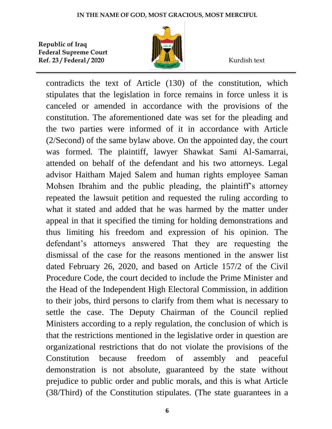

contradicts the text of Article (130) of the constitution, which stipulates that the legislation in force remains in force unless it is canceled or amended in accordance with the provisions of the constitution. The aforementioned date was set for the pleading and the two parties were informed of it in accordance with Article (2/Second) of the same bylaw above. On the appointed day, the court was formed. The plaintiff, lawyer Shawkat Sami Al-Samarrai, attended on behalf of the defendant and his two attorneys. Legal advisor Haitham Majed Salem and human rights employee Saman Mohsen Ibrahim and the public pleading, the plaintiff's attorney repeated the lawsuit petition and requested the ruling according to what it stated and added that he was harmed by the matter under appeal in that it specified the timing for holding demonstrations and thus limiting his freedom and expression of his opinion. The defendant's attorneys answered That they are requesting the dismissal of the case for the reasons mentioned in the answer list dated February 26, 2020, and based on Article 157/2 of the Civil Procedure Code, the court decided to include the Prime Minister and the Head of the Independent High Electoral Commission, in addition to their jobs, third persons to clarify from them what is necessary to settle the case. The Deputy Chairman of the Council replied Ministers according to a reply regulation, the conclusion of which is that the restrictions mentioned in the legislative order in question are organizational restrictions that do not violate the provisions of the Constitution because freedom of assembly and peaceful demonstration is not absolute, guaranteed by the state without prejudice to public order and public morals, and this is what Article (38/Third) of the Constitution stipulates. (The state guarantees in a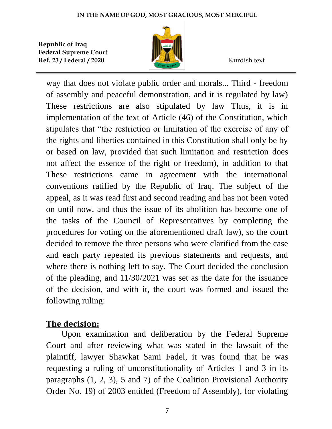

way that does not violate public order and morals... Third - freedom of assembly and peaceful demonstration, and it is regulated by law) These restrictions are also stipulated by law Thus, it is in implementation of the text of Article (46) of the Constitution, which stipulates that "the restriction or limitation of the exercise of any of the rights and liberties contained in this Constitution shall only be by or based on law, provided that such limitation and restriction does not affect the essence of the right or freedom), in addition to that These restrictions came in agreement with the international conventions ratified by the Republic of Iraq. The subject of the appeal, as it was read first and second reading and has not been voted on until now, and thus the issue of its abolition has become one of the tasks of the Council of Representatives by completing the procedures for voting on the aforementioned draft law), so the court decided to remove the three persons who were clarified from the case and each party repeated its previous statements and requests, and where there is nothing left to say. The Court decided the conclusion of the pleading, and 11/30/2021 was set as the date for the issuance of the decision, and with it, the court was formed and issued the following ruling:

## **The decision:**

Upon examination and deliberation by the Federal Supreme Court and after reviewing what was stated in the lawsuit of the plaintiff, lawyer Shawkat Sami Fadel, it was found that he was requesting a ruling of unconstitutionality of Articles 1 and 3 in its paragraphs (1, 2, 3), 5 and 7) of the Coalition Provisional Authority Order No. 19) of 2003 entitled (Freedom of Assembly), for violating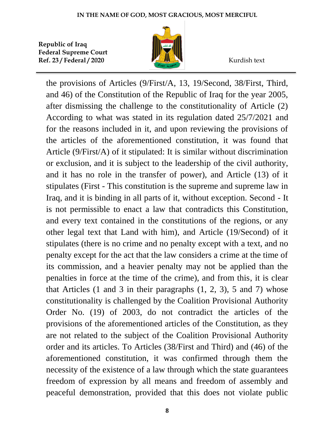

the provisions of Articles (9/First/A, 13, 19/Second, 38/First, Third, and 46) of the Constitution of the Republic of Iraq for the year 2005, after dismissing the challenge to the constitutionality of Article (2) According to what was stated in its regulation dated 25/7/2021 and for the reasons included in it, and upon reviewing the provisions of the articles of the aforementioned constitution, it was found that Article (9/First/A) of it stipulated: It is similar without discrimination or exclusion, and it is subject to the leadership of the civil authority, and it has no role in the transfer of power), and Article (13) of it stipulates (First - This constitution is the supreme and supreme law in Iraq, and it is binding in all parts of it, without exception. Second - It is not permissible to enact a law that contradicts this Constitution, and every text contained in the constitutions of the regions, or any other legal text that Land with him), and Article (19/Second) of it stipulates (there is no crime and no penalty except with a text, and no penalty except for the act that the law considers a crime at the time of its commission, and a heavier penalty may not be applied than the penalties in force at the time of the crime), and from this, it is clear that Articles  $(1 \text{ and } 3 \text{ in their paragraphs } (1, 2, 3), 5 \text{ and } 7)$  whose constitutionality is challenged by the Coalition Provisional Authority Order No. (19) of 2003, do not contradict the articles of the provisions of the aforementioned articles of the Constitution, as they are not related to the subject of the Coalition Provisional Authority order and its articles. To Articles (38/First and Third) and (46) of the aforementioned constitution, it was confirmed through them the necessity of the existence of a law through which the state guarantees freedom of expression by all means and freedom of assembly and peaceful demonstration, provided that this does not violate public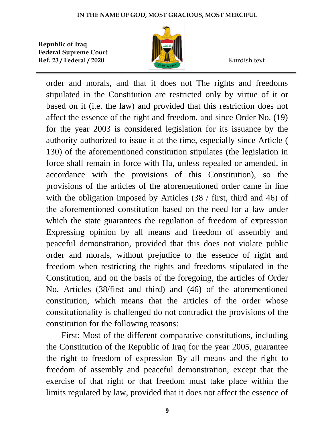

order and morals, and that it does not The rights and freedoms stipulated in the Constitution are restricted only by virtue of it or based on it (i.e. the law) and provided that this restriction does not affect the essence of the right and freedom, and since Order No. (19) for the year 2003 is considered legislation for its issuance by the authority authorized to issue it at the time, especially since Article ( 130) of the aforementioned constitution stipulates (the legislation in force shall remain in force with Ha, unless repealed or amended, in accordance with the provisions of this Constitution), so the provisions of the articles of the aforementioned order came in line with the obligation imposed by Articles (38 / first, third and 46) of the aforementioned constitution based on the need for a law under which the state guarantees the regulation of freedom of expression Expressing opinion by all means and freedom of assembly and peaceful demonstration, provided that this does not violate public order and morals, without prejudice to the essence of right and freedom when restricting the rights and freedoms stipulated in the Constitution, and on the basis of the foregoing, the articles of Order No. Articles (38/first and third) and (46) of the aforementioned constitution, which means that the articles of the order whose constitutionality is challenged do not contradict the provisions of the constitution for the following reasons:

First: Most of the different comparative constitutions, including the Constitution of the Republic of Iraq for the year 2005, guarantee the right to freedom of expression By all means and the right to freedom of assembly and peaceful demonstration, except that the exercise of that right or that freedom must take place within the limits regulated by law, provided that it does not affect the essence of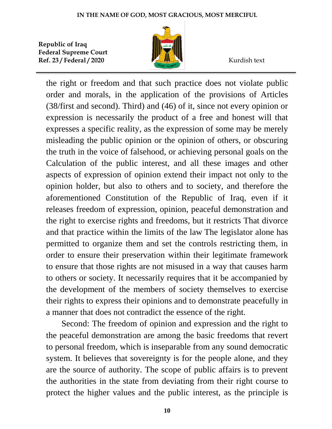

the right or freedom and that such practice does not violate public order and morals, in the application of the provisions of Articles (38/first and second). Third) and (46) of it, since not every opinion or expression is necessarily the product of a free and honest will that expresses a specific reality, as the expression of some may be merely misleading the public opinion or the opinion of others, or obscuring the truth in the voice of falsehood, or achieving personal goals on the Calculation of the public interest, and all these images and other aspects of expression of opinion extend their impact not only to the opinion holder, but also to others and to society, and therefore the aforementioned Constitution of the Republic of Iraq, even if it releases freedom of expression, opinion, peaceful demonstration and the right to exercise rights and freedoms, but it restricts That divorce and that practice within the limits of the law The legislator alone has permitted to organize them and set the controls restricting them, in order to ensure their preservation within their legitimate framework to ensure that those rights are not misused in a way that causes harm to others or society. It necessarily requires that it be accompanied by the development of the members of society themselves to exercise their rights to express their opinions and to demonstrate peacefully in a manner that does not contradict the essence of the right.

Second: The freedom of opinion and expression and the right to the peaceful demonstration are among the basic freedoms that revert to personal freedom, which is inseparable from any sound democratic system. It believes that sovereignty is for the people alone, and they are the source of authority. The scope of public affairs is to prevent the authorities in the state from deviating from their right course to protect the higher values and the public interest, as the principle is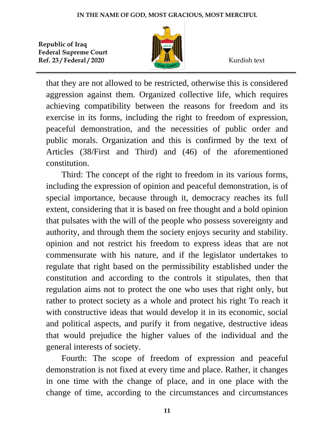

that they are not allowed to be restricted, otherwise this is considered aggression against them. Organized collective life, which requires achieving compatibility between the reasons for freedom and its exercise in its forms, including the right to freedom of expression, peaceful demonstration, and the necessities of public order and public morals. Organization and this is confirmed by the text of Articles (38/First and Third) and (46) of the aforementioned constitution.

Third: The concept of the right to freedom in its various forms, including the expression of opinion and peaceful demonstration, is of special importance, because through it, democracy reaches its full extent, considering that it is based on free thought and a bold opinion that pulsates with the will of the people who possess sovereignty and authority, and through them the society enjoys security and stability. opinion and not restrict his freedom to express ideas that are not commensurate with his nature, and if the legislator undertakes to regulate that right based on the permissibility established under the constitution and according to the controls it stipulates, then that regulation aims not to protect the one who uses that right only, but rather to protect society as a whole and protect his right To reach it with constructive ideas that would develop it in its economic, social and political aspects, and purify it from negative, destructive ideas that would prejudice the higher values of the individual and the general interests of society.

Fourth: The scope of freedom of expression and peaceful demonstration is not fixed at every time and place. Rather, it changes in one time with the change of place, and in one place with the change of time, according to the circumstances and circumstances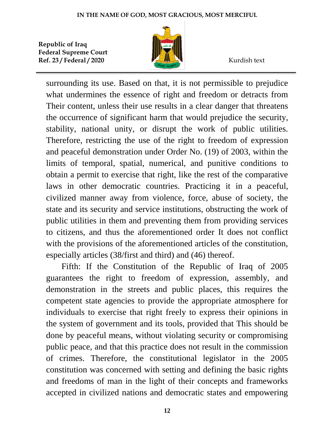

surrounding its use. Based on that, it is not permissible to prejudice what undermines the essence of right and freedom or detracts from Their content, unless their use results in a clear danger that threatens the occurrence of significant harm that would prejudice the security, stability, national unity, or disrupt the work of public utilities. Therefore, restricting the use of the right to freedom of expression and peaceful demonstration under Order No. (19) of 2003, within the limits of temporal, spatial, numerical, and punitive conditions to obtain a permit to exercise that right, like the rest of the comparative laws in other democratic countries. Practicing it in a peaceful, civilized manner away from violence, force, abuse of society, the state and its security and service institutions, obstructing the work of public utilities in them and preventing them from providing services to citizens, and thus the aforementioned order It does not conflict with the provisions of the aforementioned articles of the constitution, especially articles (38/first and third) and (46) thereof.

Fifth: If the Constitution of the Republic of Iraq of 2005 guarantees the right to freedom of expression, assembly, and demonstration in the streets and public places, this requires the competent state agencies to provide the appropriate atmosphere for individuals to exercise that right freely to express their opinions in the system of government and its tools, provided that This should be done by peaceful means, without violating security or compromising public peace, and that this practice does not result in the commission of crimes. Therefore, the constitutional legislator in the 2005 constitution was concerned with setting and defining the basic rights and freedoms of man in the light of their concepts and frameworks accepted in civilized nations and democratic states and empowering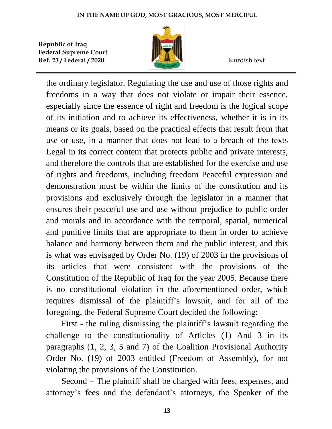

the ordinary legislator. Regulating the use and use of those rights and freedoms in a way that does not violate or impair their essence, especially since the essence of right and freedom is the logical scope of its initiation and to achieve its effectiveness, whether it is in its means or its goals, based on the practical effects that result from that use or use, in a manner that does not lead to a breach of the texts Legal in its correct content that protects public and private interests, and therefore the controls that are established for the exercise and use of rights and freedoms, including freedom Peaceful expression and demonstration must be within the limits of the constitution and its provisions and exclusively through the legislator in a manner that ensures their peaceful use and use without prejudice to public order and morals and in accordance with the temporal, spatial, numerical and punitive limits that are appropriate to them in order to achieve balance and harmony between them and the public interest, and this is what was envisaged by Order No. (19) of 2003 in the provisions of its articles that were consistent with the provisions of the Constitution of the Republic of Iraq for the year 2005. Because there is no constitutional violation in the aforementioned order, which requires dismissal of the plaintiff's lawsuit, and for all of the foregoing, the Federal Supreme Court decided the following:

First - the ruling dismissing the plaintiff's lawsuit regarding the challenge to the constitutionality of Articles (1) And 3 in its paragraphs (1, 2, 3, 5 and 7) of the Coalition Provisional Authority Order No. (19) of 2003 entitled (Freedom of Assembly), for not violating the provisions of the Constitution.

Second – The plaintiff shall be charged with fees, expenses, and attorney's fees and the defendant's attorneys, the Speaker of the